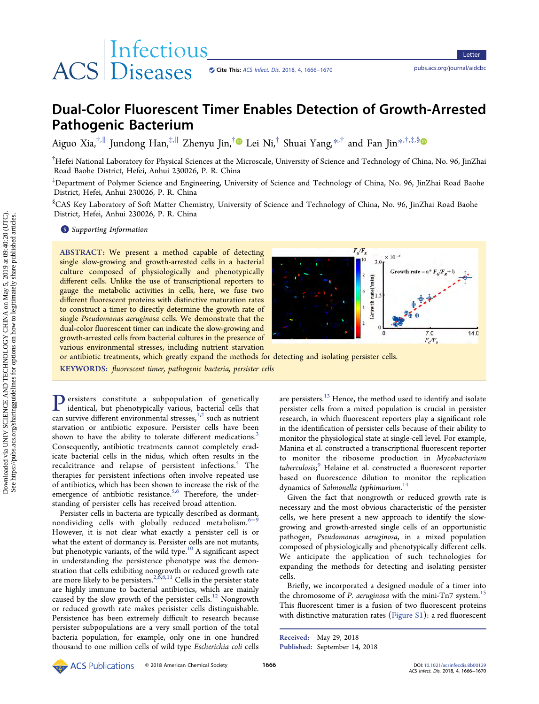# ACS Diseases

## Dual-Color Fluorescent Timer Enables Detection of Growth-Arrested Pathogenic Bacterium

Aiguo Xia,<sup>†,||</sup> [Jundong Han,](#page-3-0)<sup>‡,||</sup> [Zhenyu Jin,](#page-3-0)<sup>†</sup> Lei Ni,<sup>†</sup> Shuai Yang,<sup>[\\*](#page-3-0),†</sup> and Fan Jin<sup>\*,†,‡,[§](#page-3-0)</sup>

† Hefei National Laboratory for Physical Sciences at the Microscale, University of Science and Technology of China, No. 96, JinZhai Road Baohe District, Hefei, Anhui 230026, P. R. China

‡ Department of Polymer Science and Engineering, University of Science and Technology of China, No. 96, JinZhai Road Baohe District, Hefei, Anhui 230026, P. R. China

§ CAS Key Laboratory of Soft Matter Chemistry, University of Science and Technology of China, No. 96, JinZhai Road Baohe District, Hefei, Anhui 230026, P. R. China

**S** [Supporting Information](#page-3-0)

ABSTRACT: We present a method capable of detecting single slow-growing and growth-arrested cells in a bacterial culture composed of physiologically and phenotypically different cells. Unlike the use of transcriptional reporters to gauge the metabolic activities in cells, here, we fuse two different fluorescent proteins with distinctive maturation rates to construct a timer to directly determine the growth rate of single Pseudomonas aeruginosa cells. We demonstrate that the dual-color fluorescent timer can indicate the slow-growing and growth-arrested cells from bacterial cultures in the presence of various environmental stresses, including nutrient starvation



or antibiotic treatments, which greatly expand the methods for detecting and isolating persister cells.

KEYWORDS: fluorescent timer, pathogenic bacteria, persister cells

Persisters constitute a subpopulation of genetically<br>identical but phenotypically various bacterial calle that identical, but phenotypically various, bacterial cells that can survive different environmental stresses, $1,2$  such as nutrient starvation or antibiotic exposure. Persister cells have been shown to have the ability to tolerate different medications.<sup>[3](#page-3-0)</sup> Consequently, antibiotic treatments cannot completely eradicate bacterial cells in the nidus, which often results in the recalcitrance and relapse of persistent infections.<sup>4</sup> [The](#page-3-0) therapies for persistent infections often involve repeated use of antibiotics, which has been shown to increase the risk of the emergence of antibiotic resistance.<sup>5,6</sup> Therefore, the understanding of persister cells has received broad attention.

Persister cells in bacteria are typically described as dormant, nondividing cells with globally reduced metabolism.<sup>[6](#page-3-0)−[9](#page-4-0)</sup> However, it is not clear what exactly a persister cell is or what the extent of dormancy is. Persister cells are not mutants, but phenotypic variants, of the wild type.<sup>10</sup> A signifi[cant aspect](#page-4-0) in understanding the persistence phenotype was the demonstration that cells exhibiting nongrowth or reduced growth rate are more likely to be persisters.<sup>2,6[,8,11](#page-4-0)</sup> Cells in the persister state are highly immune to bacterial antibiotics, which are mainly caused by the slow growth of the persister cells.<sup>12</sup> [Nongrowth](#page-4-0) or reduced growth rate makes perisister cells distinguishable. Persistence has been extremely difficult to research because persister subpopulations are a very small portion of the total bacteria population, for example, only one in one hundred thousand to one million cells of wild type Escherichia coli cells are persisters. $^{13}$  [Hence, the method used to identify and isolate](#page-4-0) persister cells from a mixed population is crucial in persister research, in which fluorescent reporters play a significant role in the identification of persister cells because of their ability to monitor the physiological state at single-cell level. For example, Manina et al. constructed a transcriptional fluorescent reporter to monitor the ribosome production in Mycobacterium tuberculosis;<sup>9</sup> [Helaine et al. constructed a](#page-4-0) fluorescent reporter based on fluorescence dilution to monitor the replication dynamics of Salmonella typhimurium.<sup>[14](#page-4-0)</sup>

Given the fact that nongrowth or reduced growth rate is necessary and the most obvious characteristic of the persister cells, we here present a new approach to identify the slowgrowing and growth-arrested single cells of an opportunistic pathogen, Pseudomonas aeruginosa, in a mixed population composed of physiologically and phenotypically different cells. We anticipate the application of such technologies for expanding the methods for detecting and isolating persister cells.

Briefly, we incorporated a designed module of a timer into the chromosome of P. aeruginosa with the mini-Tn7 system.<sup>[15](#page-4-0)</sup> This fluorescent timer is a fusion of two fluorescent proteins with distinctive maturation rates ([Figure S1](http://pubs.acs.org/doi/suppl/10.1021/acsinfecdis.8b00129/suppl_file/id8b00129_si_001.pdf)): a red fluorescent

Received: May 29, 2018 Published: September 14, 2018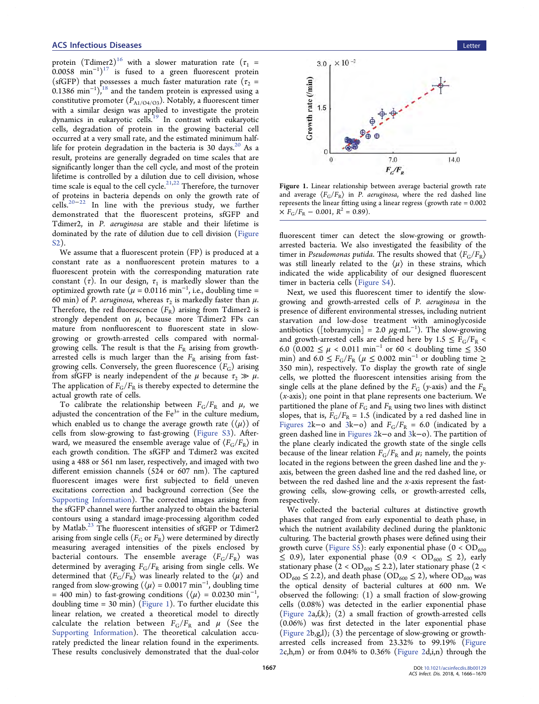protein (Tdimer2)<sup>16</sup> [with a slower maturation rate \(](#page-4-0) $\tau_1$  =  $0.0058$   $\text{min}^{-1}$ )<sup>17</sup> [is fused to a green](#page-4-0) fluorescent protein (sfGFP) that possesses a much faster maturation rate ( $\tau_2$  =  $0.1386 \text{ min}^{-1}$ ),<sup>18</sup> [and the tandem protein is expressed using a](#page-4-0) constitutive promoter  $(P_{A1/O4/O3})$ . Notably, a fluorescent timer with a similar design was applied to investigate the protein dynamics in eukaryotic cells.<sup>19</sup> [In contrast with eukaryotic](#page-4-0) cells, degradation of protein in the growing bacterial cell occurred at a very small rate, and the estimated minimum halflife for protein degradation in the bacteria is 30 days. $^{20}$  [As a](#page-4-0) result, proteins are generally degraded on time scales that are significantly longer than the cell cycle, and most of the protein lifetime is controlled by a dilution due to cell division, whose time scale is equal to the cell cycle.<sup>[21,22](#page-4-0)</sup> Therefore, the turnover of proteins in bacteria depends on only the growth rate of cells.[20](#page-4-0)−[22](#page-4-0) In line with the previous study, we further demonstrated that the fluorescent proteins, sfGFP and Tdimer2, in P. aeruginosa are stable and their lifetime is dominated by the rate of dilution due to cell division [\(Figure](http://pubs.acs.org/doi/suppl/10.1021/acsinfecdis.8b00129/suppl_file/id8b00129_si_001.pdf) [S2](http://pubs.acs.org/doi/suppl/10.1021/acsinfecdis.8b00129/suppl_file/id8b00129_si_001.pdf)).

We assume that a fluorescent protein (FP) is produced at a constant rate as a nonfluorescent protein matures to a fluorescent protein with the corresponding maturation rate constant (τ). In our design,  $\tau_1$  is markedly slower than the optimized growth rate ( $\mu = 0.0116$  min<sup>-1</sup>, i.e., doubling time = 60 min) of *P. aeruginosa*, whereas  $\tau_2$  is markedly faster than  $\mu$ . Therefore, the red fluorescence  $(F_R)$  arising from Tdimer2 is strongly dependent on  $\mu$ , because more Tdimer2 FPs can mature from nonfluorescent to fluorescent state in slowgrowing or growth-arrested cells compared with normalgrowing cells. The result is that the  $F_R$  arising from growtharrested cells is much larger than the  $F_R$  arising from fastgrowing cells. Conversely, the green fluorescence  $(F_G)$  arising from sfGFP is nearly independent of the  $\mu$  because  $\tau_2 \gg \mu$ . The application of  $F_G/F_R$  is thereby expected to determine the actual growth rate of cells.

To calibrate the relationship between  $F_G/F_R$  and  $\mu$ , we adjusted the concentration of the  $Fe<sup>3+</sup>$  in the culture medium, which enabled us to change the average growth rate  $(\langle \mu \rangle)$  of cells from slow-growing to fast-growing ([Figure S3\)](http://pubs.acs.org/doi/suppl/10.1021/acsinfecdis.8b00129/suppl_file/id8b00129_si_001.pdf). Afterward, we measured the ensemble average value of  $\langle F_G/F_R \rangle$  in each growth condition. The sfGFP and Tdimer2 was excited using a 488 or 561 nm laser, respectively, and imaged with two different emission channels (524 or 607 nm). The captured fluorescent images were first subjected to field uneven excitations correction and background correction (See the [Supporting Information\)](http://pubs.acs.org/doi/suppl/10.1021/acsinfecdis.8b00129/suppl_file/id8b00129_si_001.pdf). The corrected images arising from the sfGFP channel were further analyzed to obtain the bacterial contours using a standard image-processing algorithm coded by Matlab.<sup>23</sup> The fl[uorescent intensities of sfGFP or Tdimer2](#page-4-0) arising from single cells ( $F_G$  or  $F_R$ ) were determined by directly measuring averaged intensities of the pixels enclosed by bacterial contours. The ensemble average  $\langle F_G/F_R \rangle$  was determined by averaging  $F_G/F_R$  arising from single cells. We determined that  $\langle F_G/F_R \rangle$  was linearly related to the  $\langle \mu \rangle$  and ranged from slow-growing ( $\langle \mu \rangle$  = 0.0017 min $^{-1}$ , doubling time = 400 min) to fast-growing conditions ( $\langle \mu \rangle$  = 0.0230 min<sup>-1</sup> , doubling time =  $30 \text{ min}$ ) (Figure 1). To further elucidate this linear relation, we created a theoretical model to directly calculate the relation between  $F_G/F_R$  and  $\mu$  (See the [Supporting Information](http://pubs.acs.org/doi/suppl/10.1021/acsinfecdis.8b00129/suppl_file/id8b00129_si_001.pdf)). The theoretical calculation accurately predicted the linear relation found in the experiments. These results conclusively demonstrated that the dual-color



Figure 1. Linear relationship between average bacterial growth rate and average  $\langle F_G/F_R \rangle$  in P. aeruginosa, where the red dashed line represents the linear fitting using a linear regress (growth rate = 0.002  $\times F_{\rm G}/F_{\rm R}$  – 0.001,  $R^2$  = 0.89).

fluorescent timer can detect the slow-growing or growtharrested bacteria. We also investigated the feasibility of the timer in Pseudomonas putida. The results showed that  $\langle F_G/F_R \rangle$ was still linearly related to the  $\langle \mu \rangle$  in these strains, which indicated the wide applicability of our designed fluorescent timer in bacteria cells ([Figure S4\)](http://pubs.acs.org/doi/suppl/10.1021/acsinfecdis.8b00129/suppl_file/id8b00129_si_001.pdf).

Next, we used this fluorescent timer to identify the slowgrowing and growth-arrested cells of P. aeruginosa in the presence of different environmental stresses, including nutrient starvation and low-dose treatment with aminoglycoside antibiotics ([tobramycin] = 2.0  $\mu$ g·mL<sup>-1</sup>). The slow-growing and growth-arrested cells are defined here by  $1.5 \le F_G/F_R$  < 6.0 (0.002 ≤  $\mu$  < 0.011 min<sup>-1</sup> or 60 < doubling time ≤ 350 min) and 6.0  $\leq$  F<sub>G</sub>/F<sub>R</sub> ( $\mu \leq$  0.002 min<sup>-1</sup> or doubling time  $\geq$ 350 min), respectively. To display the growth rate of single cells, we plotted the fluorescent intensities arising from the single cells at the plane defined by the  $F_G$  (y-axis) and the  $F_R$ (x-axis); one point in that plane represents one bacterium. We partitioned the plane of  $F_G$  and  $F_R$  using two lines with distinct slopes, that is,  $F_G/F_R = 1.5$  (indicated by a red dashed line in [Figures 2k](#page-2-0)-o and [3k](#page-2-0)-o) and  $F_G/F_R = 6.0$  (indicated by a green dashed line in [Figures 2k](#page-2-0)−o and [3k](#page-2-0)−o). The partition of the plane clearly indicated the growth state of the single cells because of the linear relation  $F_G/F_R$  and  $\mu$ ; namely, the points located in the regions between the green dashed line and the yaxis, between the green dashed line and the red dashed line, or between the red dashed line and the  $x$ -axis represent the fastgrowing cells, slow-growing cells, or growth-arrested cells, respectively.

We collected the bacterial cultures at distinctive growth phases that ranged from early exponential to death phase, in which the nutrient availability declined during the planktonic culturing. The bacterial growth phases were defined using their growth curve ([Figure S5\)](http://pubs.acs.org/doi/suppl/10.1021/acsinfecdis.8b00129/suppl_file/id8b00129_si_001.pdf): early exponential phase ( $0 < OD_{600}$ )  $\leq$  0.9), later exponential phase (0.9 < OD<sub>600</sub>  $\leq$  2), early stationary phase (2 <  $OD_{600} \le 2.2$ ), later stationary phase (2 <  $OD_{600} \leq 2.2$ ), and death phase ( $OD_{600} \leq 2$ ), where  $OD_{600}$  was the optical density of bacterial cultures at 600 nm. We observed the following: (1) a small fraction of slow-growing cells (0.08%) was detected in the earlier exponential phase ([Figure 2](#page-2-0)a, $f$ , $k$ ); (2) a small fraction of growth-arrested cells (0.06%) was first detected in the later exponential phase ([Figure 2](#page-2-0)b,g,l); (3) the percentage of slow-growing or growtharrested cells increased from 23.32% to 99.19% [\(Figure](#page-2-0)  $2c, h, m$  $2c, h, m$ ) or from 0.04% to 0.36% (Figure  $2d, i, n$ ) through the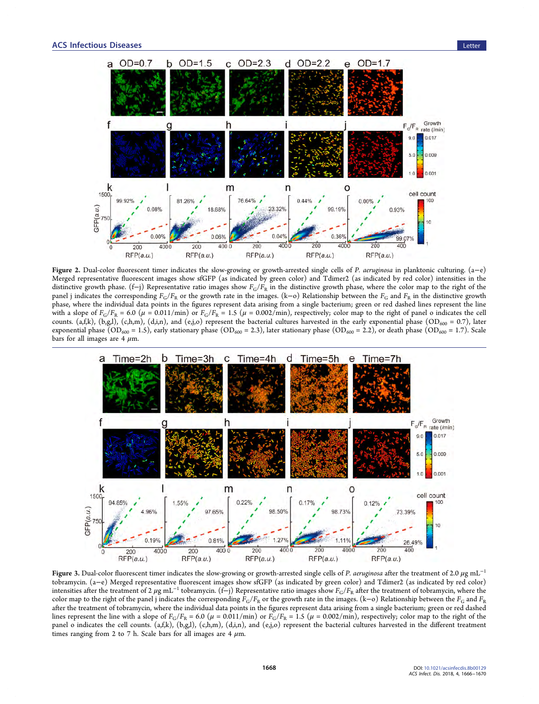<span id="page-2-0"></span>

Figure 2. Dual-color fluorescent timer indicates the slow-growing or growth-arrested single cells of P. aeruginosa in planktonic culturing. (a−e) Merged representative fluorescent images show sfGFP (as indicated by green color) and Tdimer2 (as indicated by red color) intensities in the distinctive growth phase. (f−j) Representative ratio images show  $F_G/F_R$  in the distinctive growth phase, where the color map to the right of the panel j indicates the corresponding  $F_G/F_R$  or the growth rate in the images. (k–o) Relationship between the  $F_G$  and  $F_R$  in the distinctive growth phase, where the individual data points in the figures represent data arising from a single bacterium; green or red dashed lines represent the line with a slope of  $F_G/F_R = 6.0 \ (\mu = 0.011/min)$  or  $F_G/F_R = 1.5 \ (\mu = 0.002/min)$ , respectively; color map to the right of panel o indicates the cell counts. (a,f,k), (b,g,l), (c,h,m), (d,i,n), and (e,j,o) represent the bacterial cultures harvested in the early exponential phase (OD<sub>600</sub> = 0.7), later exponential phase (OD<sub>600</sub> = 1.5), early stationary phase (OD<sub>600</sub> = 2.3), later stationary phase (OD<sub>600</sub> = 2.2), or death phase (OD<sub>600</sub> = 1.7). Scale bars for all images are  $4 \mu m$ .



Figure 3. Dual-color fluorescent timer indicates the slow-growing or growth-arrested single cells of P. aeruginosa after the treatment of 2.0  $\mu$ g mL<sup>-1</sup> tobramycin. (a−e) Merged representative fluorescent images show sfGFP (as indicated by green color) and Tdimer2 (as indicated by red color) intensities after the treatment of 2  $\mu$ g mL<sup>-1</sup> tobramycin. (f−j) Representative ratio images show  $F_G/F_R$  after the treatment of tobramycin, where the color map to the right of the panel j indicates the corresponding  $F_G/F_R$  or the growth rate in the images. (k-o) Relationship between the  $F_G$  and  $F_R$ after the treatment of tobramycin, where the individual data points in the figures represent data arising from a single bacterium; green or red dashed lines represent the line with a slope of  $F_G/F_R = 6.0$  ( $\mu = 0.011/min$ ) or  $F_G/F_R = 1.5$  ( $\mu = 0.002/min$ ), respectively; color map to the right of the panel o indicates the cell counts. (a,f,k), (b,g,l), (c,h,m), (d,i,n), and (e,j,o) represent the bacterial cultures harvested in the different treatment times ranging from 2 to 7 h. Scale bars for all images are 4  $\mu$ m.

1668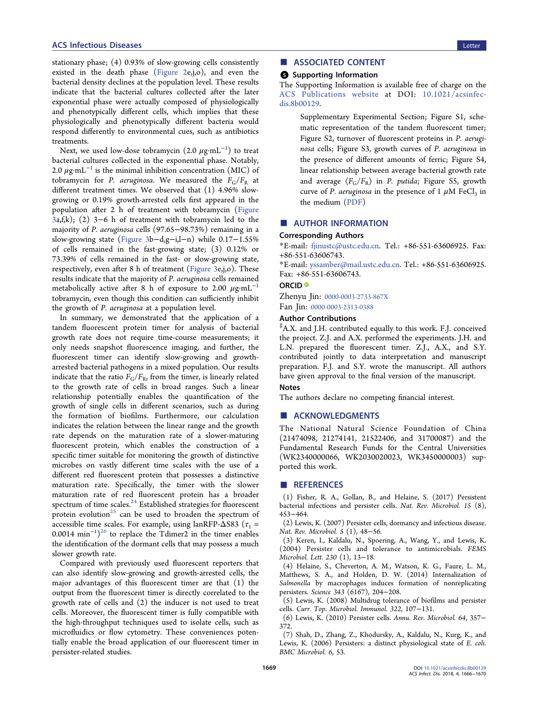<span id="page-3-0"></span>stationary phase; (4) 0.93% of slow-growing cells consistently existed in the death phase [\(Figure 2](#page-2-0)e,j,o), and even the bacterial density declines at the population level. These results indicate that the bacterial cultures collected after the later exponential phase were actually composed of physiologically and phenotypically different cells, which implies that these physiologically and phenotypically different bacteria would respond differently to environmental cues, such as antibiotics treatments.

Next, we used low-dose tobramycin (2.0  $\mu \text{g} {\cdot} \text{m} \text{L}^{-1})$  to treat bacterial cultures collected in the exponential phase. Notably, 2.0  $\mu$ g·mL<sup>-1</sup> is the minimal inhibition concentration (MIC) of tobramycin for P. aeruginosa. We measured the  $F_{\rm G}/F_{\rm R}$  at different treatment times. We observed that (1) 4.96% slowgrowing or 0.19% growth-arrested cells first appeared in the population after 2 h of treatment with tobramycin [\(Figure](#page-2-0) [3](#page-2-0)a,f,k); (2) 3−6 h of treatment with tobramycin led to the majority of P. aeruginosa cells (97.65−98.73%) remaining in a slow-growing state [\(Figure 3](#page-2-0)b−d,g−i,l−n) while 0.17−1.55% of cells remained in the fast-growing state; (3) 0.12% or 73.39% of cells remained in the fast- or slow-growing state, respectively, even after 8 h of treatment ([Figure 3e](#page-2-0),j,o). These results indicate that the majority of P. aeruginosa cells remained metabolically active after 8 h of exposure to 2.00  $\mu$ g·mL<sup>-1</sup> tobramycin, even though this condition can sufficiently inhibit the growth of P. aeruginosa at a population level.

In summary, we demonstrated that the application of a tandem fluorescent protein timer for analysis of bacterial growth rate does not require time-course measurements; it only needs snapshot fluorescence imaging, and further, the fluorescent timer can identify slow-growing and growtharrested bacterial pathogens in a mixed population. Our results indicate that the ratio  $F_G/F_R$ , from the timer, is linearly related to the growth rate of cells in broad ranges. Such a linear relationship potentially enables the quantification of the growth of single cells in different scenarios, such as during the formation of biofilms. Furthermore, our calculation indicates the relation between the linear range and the growth rate depends on the maturation rate of a slower-maturing fluorescent protein, which enables the construction of a specific timer suitable for monitoring the growth of distinctive microbes on vastly different time scales with the use of a different red fluorescent protein that possesses a distinctive maturation rate. Specifically, the timer with the slower maturation rate of red fluorescent protein has a broader spectrum of time scales. $^{24}$  [Established strategies for](#page-4-0) fluorescent protein evolution<sup>25</sup> [can be used to broaden the spectrum of](#page-4-0) accessible time scales. For example, using lanRFP- $\Delta$ S83 ( $\tau_1$  = 0.0014  $\text{min}^{-1}$ )<sup>26</sup> [to replace the Tdimer2 in the timer enables](#page-4-0) the identification of the dormant cells that may possess a much slower growth rate.

Compared with previously used fluorescent reporters that can also identify slow-growing and growth-arrested cells, the major advantages of this fluorescent timer are that (1) the output from the fluorescent timer is directly correlated to the growth rate of cells and (2) the inducer is not used to treat cells. Moreover, the fluorescent timer is fully compatible with the high-throughput techniques used to isolate cells, such as microfluidics or flow cytometry. These conveniences potentially enable the broad application of our fluorescent timer in persister-related studies.

### ■ ASSOCIATED CONTENT

#### **6** Supporting Information

The Supporting Information is available free of charge on the [ACS Publications website](http://pubs.acs.org) at DOI: [10.1021/acsinfec](http://pubs.acs.org/doi/abs/10.1021/acsinfecdis.8b00129)[dis.8b00129.](http://pubs.acs.org/doi/abs/10.1021/acsinfecdis.8b00129)

> Supplementary Experimental Section; Figure S1, schematic representation of the tandem fluorescent timer; Figure S2, turnover of fluorescent proteins in P. aeruginosa cells; Figure S3, growth curves of P. aeruginosa in the presence of different amounts of ferric; Figure S4, linear relationship between average bacterial growth rate and average  $\langle F_G/F_R \rangle$  in *P. putida*; Figure S5, growth curve of P. aeruginosa in the presence of 1  $\mu$ M FeCl<sub>3</sub> in the medium ([PDF\)](http://pubs.acs.org/doi/suppl/10.1021/acsinfecdis.8b00129/suppl_file/id8b00129_si_001.pdf)

#### ■ AUTHOR INFORMATION

#### Corresponding Authors

\*E-mail: [fjinustc@ustc.edu.cn](mailto:fjinustc@ustc.edu.cn). Tel.: +86-551-63606925. Fax: +86-551-63606743.

\*E-mail: [yssamber@mail.ustc.edu.cn](mailto:yssamber@mail.ustc.edu.cn). Tel.: +86-551-63606925. Fax: +86-551-63606743.

#### ORCID<sup>®</sup>

Zhenyu Jin: [0000-0003-2733-867X](http://orcid.org/0000-0003-2733-867X) Fan Jin: [0000-0003-2313-0388](http://orcid.org/0000-0003-2313-0388)

#### Author Contributions

∥ A.X. and J.H. contributed equally to this work. F.J. conceived the project. Z.J. and A.X. performed the experiments. J.H. and L.N. prepared the fluorescent timer. Z.J., A.X., and S.Y. contributed jointly to data interpretation and manuscript preparation. F.J. and S.Y. wrote the manuscript. All authors have given approval to the final version of the manuscript.

#### **Notes**

The authors declare no competing financial interest.

#### ■ ACKNOWLEDGMENTS

The National Natural Science Foundation of China (21474098, 21274141, 21522406, and 31700087) and the Fundamental Research Funds for the Central Universities (WK2340000066, WK2030020023, WK3450000003) supported this work.

#### ■ REFERENCES

(1) Fisher, R. A., Gollan, B., and Helaine, S. (2017) Persistent bacterial infections and persister cells. Nat. Rev. Microbiol. 15 (8), 453−464.

(2) Lewis, K. (2007) Persister cells, dormancy and infectious disease. Nat. Rev. Microbiol. 5 (1), 48−56.

(3) Keren, I., Kaldalu, N., Spoering, A., Wang, Y., and Lewis, K. (2004) Persister cells and tolerance to antimicrobials. FEMS Microbiol. Lett. 230 (1), 13−18.

(4) Helaine, S., Cheverton, A. M., Watson, K. G., Faure, L. M., Matthews, S. A., and Holden, D. W. (2014) Internalization of Salmonella by macrophages induces formation of nonreplicating persisters. Science 343 (6167), 204−208.

(5) Lewis, K. (2008) Multidrug tolerance of biofilms and persister cells. Curr. Top. Microbiol. Immunol. 322, 107−131.

(6) Lewis, K. (2010) Persister cells. Annu. Rev. Microbiol. 64, 357− 372.

(7) Shah, D., Zhang, Z., Khodursky, A., Kaldalu, N., Kurg, K., and Lewis, K. (2006) Persisters: a distinct physiological state of E. coli. BMC Microbiol. 6, 53.